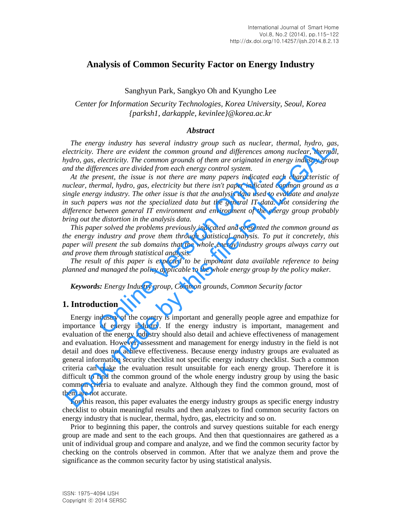# **Analysis of Common Security Factor on Energy Industry**

### Sanghyun Park, Sangkyo Oh and Kyungho Lee

## *Center for Information Security Technologies, Korea University, Seoul, Korea {parksh1, darkapple, kevinlee}@korea.ac.kr*

#### *Abstract*

*The energy industry has several industry group such as nuclear, thermal, hydro, gas, electricity. There are evident the common ground and differences among nuclear, thermal, hydro, gas, electricity. The common grounds of them are originated in energy industry group and the differences are divided from each energy control system.* 

*At the present, the issue is not there are many papers indicated each characteristic of nuclear, thermal, hydro, gas, electricity but there isn't paper indicated common ground as a single energy industry. The other issue is that the analysis data used to evaluate and analyze in such papers was not the specialized data but the general IT data. Not considering the difference between general IT environment and environment of the energy group probably bring out the distortion in the analysis data.*  resent, the issue is not there are many papers indicated<br>
rmal, hydro, gas, electricity but there isn't paper indicated<br>
gy industry. The other issue is that the analysis data used t<br>
pers was not the specialized data but

*This paper solved the problems previously indicated and presented the common ground as the energy industry and prove them through statistical analysis. To put it concretely, this paper will present the sub domains that the whole energy industry groups always carry out and prove them through statistical analysis.* 

*The result of this paper is expected to be important data available reference to being planned and managed the policy applicable to the whole energy group by the policy maker.* 

*Keywords: Energy Industry group, Common grounds, Common Security factor* 

### **1. Introduction**

Energy industry of the country is important and generally people agree and empathize for importance of energy industry. If the energy industry is important, management and evaluation of the energy industry should also detail and achieve effectiveness of management and evaluation. However, assessment and management for energy industry in the field is not detail and does not achieve effectiveness. Because energy industry groups are evaluated as general information security checklist not specific energy industry checklist. Such a common criteria can make the evaluation result unsuitable for each energy group. Therefore it is difficult to find the common ground of the whole energy industry group by using the basic common criteria to evaluate and analyze. Although they find the common ground, most of them are not accurate. The energy industry has several industry group such as well at multear, thermal, hy to energy industry and the energy industry and the differences among nuclear, thermal, hy the generation, gas, electricity. The common gr

For this reason, this paper evaluates the energy industry groups as specific energy industry checklist to obtain meaningful results and then analyzes to find common security factors on energy industry that is nuclear, thermal, hydro, gas, electricity and so on.

Prior to beginning this paper, the controls and survey questions suitable for each energy group are made and sent to the each groups. And then that questionnaires are gathered as a unit of individual group and compare and analyze, and we find the common security factor by checking on the controls observed in common. After that we analyze them and prove the significance as the common security factor by using statistical analysis.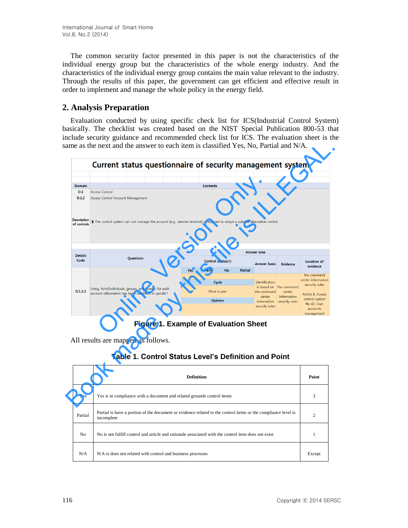The common security factor presented in this paper is not the characteristics of the individual energy group but the characteristics of the whole energy industry. And the characteristics of the individual energy group contains the main value relevant to the industry. Through the results of this paper, the government can get efficient and effective result in order to implement and manage the whole policy in the energy field.

## **2. Analysis Preparation**

Evaluation conducted by using specific check list for ICS(Industrial Control System) basically. The checklist was created based on the NIST Special Publication 800-53 that include security guidance and recommended check list for ICS. The evaluation sheet is the same as the next and the answer to each item is classified Yes, No, Partial and N/A.

|                                   | Current status questionnaire of security management system                                                                 |                                                      |                   |                                               |           |                |                                                                                         |                                                        |                                                                                                                                     |
|-----------------------------------|----------------------------------------------------------------------------------------------------------------------------|------------------------------------------------------|-------------------|-----------------------------------------------|-----------|----------------|-----------------------------------------------------------------------------------------|--------------------------------------------------------|-------------------------------------------------------------------------------------------------------------------------------------|
|                                   |                                                                                                                            |                                                      |                   |                                               |           |                |                                                                                         |                                                        |                                                                                                                                     |
|                                   |                                                                                                                            |                                                      |                   |                                               |           |                |                                                                                         |                                                        |                                                                                                                                     |
| <b>Domain</b><br>D.1              | <b>Access Control</b>                                                                                                      |                                                      |                   | <b>Contents</b>                               |           |                |                                                                                         |                                                        |                                                                                                                                     |
| D.1.2                             | <b>Access Control Account Management</b>                                                                                   |                                                      |                   |                                               |           |                |                                                                                         |                                                        |                                                                                                                                     |
| <b>Description</b><br>of controls | The control system can not manage the account (e.g., remote terminal) is required to adopt a suitable alternative control. |                                                      |                   |                                               |           |                |                                                                                         |                                                        |                                                                                                                                     |
| <b>Details</b>                    |                                                                                                                            |                                                      |                   |                                               |           |                | Answer area                                                                             |                                                        |                                                                                                                                     |
| Code                              | Questions                                                                                                                  |                                                      |                   | Control status( $\sqrt{}$ )                   |           |                | <b>Answer basis</b>                                                                     | <b>Evidence</b>                                        | <b>Location of</b><br>evidence                                                                                                      |
| D.1.2.2                           | Using, form(Individuals, groups, and guests) for each<br>account information has been identified in specific?              |                                                      | Yes<br>$\sqrt{ }$ | N/A<br>Cycle<br>Once a year<br><b>Opinion</b> | <b>No</b> | <b>Partial</b> | Identification<br>is based on<br>the command<br>center<br>information<br>security rules | the command<br>center<br>information<br>security rules | the command<br>center information<br>security rules<br>Article 8. Access<br>control system<br>No 43. User<br>accounts<br>management |
|                                   | All results are mapped as follows.                                                                                         | <b>Figure 1. Example of Evaluation Sheet</b>         |                   |                                               |           |                |                                                                                         |                                                        |                                                                                                                                     |
|                                   |                                                                                                                            |                                                      |                   |                                               |           |                |                                                                                         |                                                        |                                                                                                                                     |
|                                   |                                                                                                                            | Table 1. Control Status Level's Definition and Point |                   |                                               |           |                |                                                                                         |                                                        |                                                                                                                                     |
|                                   |                                                                                                                            |                                                      | <b>Definition</b> |                                               |           |                |                                                                                         |                                                        | Point                                                                                                                               |

**Figure 1. Example of Evaluation Sheet** 

# **Table 1. Control Status Level's Definition and Point**

|                | <b>Definition</b>                                                                                                           | Point  |
|----------------|-----------------------------------------------------------------------------------------------------------------------------|--------|
| Yes            | Yes is in compliance with a document and related grounds control items                                                      | 3      |
| Partial        | Partial is have a portion of the document or evidence related to the control items or the compliance level is<br>incomplete | 2      |
| N <sub>0</sub> | No is not fulfill control and article and rationale associated with the control item does not exist                         |        |
| N/A            | N/A is does not related with control and business processes                                                                 | Except |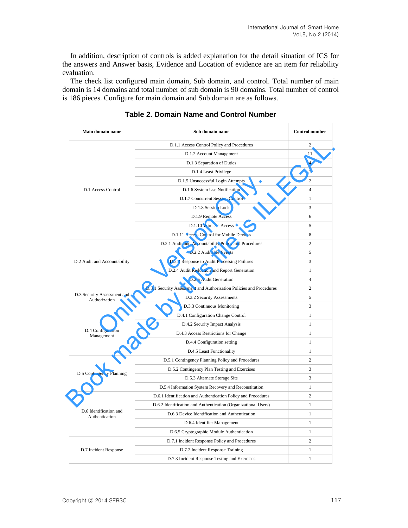In addition, description of controls is added explanation for the detail situation of ICS for the answers and Answer basis, Evidence and Location of evidence are an item for reliability evaluation.

The check list configured main domain, Sub domain, and control. Total number of main domain is 14 domains and total number of sub domain is 90 domains. Total number of control is 186 pieces. Configure for main domain and Sub domain are as follows.

| Main domain name                             | Sub domain name                                                     | <b>Control number</b> |
|----------------------------------------------|---------------------------------------------------------------------|-----------------------|
|                                              | D.1.1 Access Control Policy and Procedures                          | $\mathfrak{2}$        |
|                                              | D.1.2 Account Management                                            | 11                    |
|                                              | D.1.3 Separation of Duties                                          | $\overline{4}$        |
|                                              | D.1.4 Least Privilege                                               | $\mathbf{1}$          |
|                                              | D.1.5 Unsuccessful Login Attempts                                   | $\overline{2}$        |
| D.1 Access Control                           | D.1.6 System Use Notification                                       | $\overline{4}$        |
|                                              | D.1.7 Concurrent Session Control                                    | $\mathbf{1}$          |
|                                              | D.1.8 Session Lock                                                  | 3                     |
|                                              | D.1.9 Remote Access                                                 | 6                     |
|                                              | D.1.10 Wireless Access                                              | 5                     |
|                                              | D.1.11 Access Control for Mobile Devices                            | 8                     |
|                                              | D.2.1 Audit and Accountability Policy and Procedures                | $\mathfrak{2}$        |
|                                              | D.2.2 Auditable Events                                              | 5                     |
| D.2 Audit and Accountability                 | D.2.3 Response to Audit Processing Failures                         | 3                     |
|                                              | D.2.4 Audit Reduction and Report Generation                         | $\mathbf{1}$          |
|                                              | D.2.5 Audit Generation                                              | $\overline{4}$        |
|                                              | D.3.1 Security Assessment and Authorization Policies and Procedures | 2                     |
| D.3 Security Assessment and<br>Authorization | D.3.2 Security Assessments                                          | 5                     |
|                                              | D.3.3 Continuous Monitoring                                         | 3                     |
|                                              | D.4.1 Configuration Change Control                                  | 1                     |
|                                              | D.4.2 Security Impact Analysis                                      | 1                     |
| D.4 Configuration<br>Management              | D.4.3 Access Restrictions for Change                                | $\mathbf{1}$          |
|                                              | D.4.4 Configuration setting                                         | 1                     |
|                                              | D.4.5 Least Functionality                                           | $\mathbf{1}$          |
|                                              | D.5.1 Contingency Planning Policy and Procedures                    | $\overline{2}$        |
|                                              | D.5.2 Contingency Plan Testing and Exercises                        | 3                     |
| D.5 Contingency Planning                     | D.5.3 Alternate Storage Site                                        | 3                     |
|                                              | D.5.4 Information System Recovery and Reconstitution                | $\mathbf{1}$          |
|                                              | D.6.1 Identification and Authentication Policy and Procedures       | $\mathfrak{2}$        |
|                                              | D.6.2 Identification and Authentication (Organizational Users)      | $\mathbf{1}$          |
| D.6 Identification and<br>Authentication     | D.6.3 Device Identification and Authentication                      | $\mathbf{1}$          |
|                                              | D.6.4 Identifier Management                                         | $\mathbf{1}$          |
|                                              | D.6.5 Cryptographic Module Authentication                           | $\mathbf{1}$          |
|                                              | D.7.1 Incident Response Policy and Procedures                       | $\mathfrak{2}$        |
| D.7 Incident Response                        | D.7.2 Incident Response Training                                    | 1                     |
|                                              | D.7.3 Incident Response Testing and Exercises                       | $\mathbf{1}$          |

**Table 2. Domain Name and Control Number**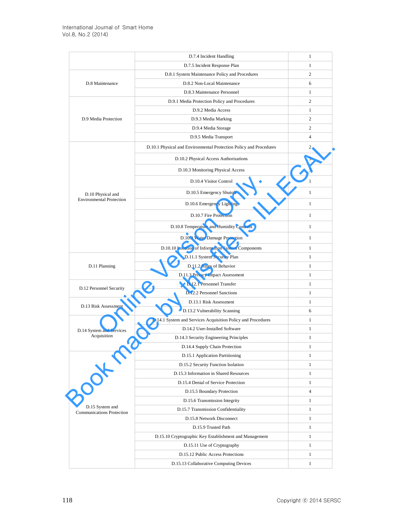|                                              | D.7.4 Incident Handling                                            | 1              |
|----------------------------------------------|--------------------------------------------------------------------|----------------|
|                                              | D.7.5 Incident Response Plan                                       | 1              |
|                                              | D.8.1 System Maintenance Policy and Procedures                     | 2              |
| D.8 Maintenance                              | D.8.2 Non-Local Maintenance                                        | 6              |
|                                              | D.8.3 Maintenance Personnel                                        | 1              |
|                                              | D.9.1 Media Protection Policy and Procedures                       | 2              |
|                                              | D.9.2 Media Access                                                 | 1              |
| D.9 Media Protection                         | D.9.3 Media Marking                                                | 2              |
|                                              | D.9.4 Media Storage                                                | 2              |
|                                              | D.9.5 Media Transport                                              | $\overline{4}$ |
|                                              | D.10.1 Physical and Environmental Protection Policy and Procedures | 2              |
|                                              | D.10.2 Physical Access Authorizations                              | 3              |
|                                              | D.10.3 Monitoring Physical Access                                  | 3              |
|                                              | D.10.4 Visitor Control                                             | $\mathbf{1}$   |
| D.10 Physical and                            | D.10.5 Emergency Shutoff                                           | 1              |
| <b>Environmental Protection</b>              | D.10.6 Emergency Lighting                                          | $\mathbf{1}$   |
|                                              | D.10.7 Fire Protection                                             | $\mathbf{1}$   |
|                                              | D.10.8 Temperature and Humidity Controls                           | 1              |
|                                              | D.10.9 Water Damage Protection                                     | $\mathbf{1}$   |
|                                              | D.10.10 Location of Information System Components                  | 1              |
|                                              | D.11.1 System Security Plan                                        | 1              |
| D.11 Planning                                | D.11.2 Rules of Behavior                                           | $\mathbf{1}$   |
|                                              | D.11.3 Privacy Impact Assessment                                   | $\mathbf{1}$   |
|                                              | D.12.1 Personnel Transfer                                          | $\mathbf{1}$   |
| D.12 Personnel Security                      | D.12.2 Personnel Sanctions                                         | 1              |
| D.13 Risk Assessment                         | D.13.1 Risk Assessment                                             | $\mathbf{1}$   |
|                                              | D.13.2 Vulnerability Scanning                                      | 6              |
|                                              | D.14.1 System and Services Acquisition Policy and Procedures       | 1              |
| D.14 System and Services                     | D.14.2 User-Installed Software                                     | 1              |
| Acquisition                                  | D.14.3 Security Engineering Principles                             | 1              |
|                                              | D.14.4 Supply Chain Protection                                     | 1              |
|                                              | D.15.1 Application Partitioning                                    | 1              |
|                                              | D.15.2 Security Function Isolation                                 | $\mathbf{1}$   |
|                                              | D.15.3 Information in Shared Resources                             | 1              |
|                                              | D.15.4 Denial of Service Protection                                | $\mathbf{1}$   |
|                                              | D.15.5 Boundary Protection                                         | $\overline{4}$ |
|                                              | D.15.6 Transmission Integrity                                      | $\mathbf{1}$   |
| D.15 System and<br>Communications Protection | D.15.7 Transmission Confidentiality                                | $\mathbf{1}$   |
|                                              | D.15.8 Network Disconnect                                          | $\mathbf{1}$   |
|                                              | D.15.9 Trusted Path                                                | 1              |
|                                              | D.15.10 Cryptographic Key Establishment and Management             | $\mathbf{1}$   |
|                                              | D.15.11 Use of Cryptography                                        | $\mathbf{1}$   |
|                                              | D.15.12 Public Access Protections                                  | $\mathbf{1}$   |
|                                              | D.15.13 Collaborative Computing Devices                            | $\mathbf{1}$   |
|                                              |                                                                    |                |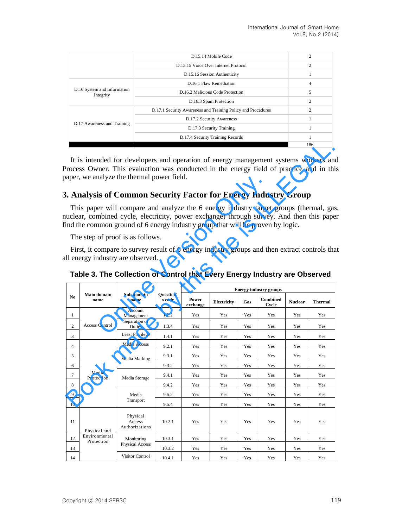|                                          | D.15.14 Mobile Code                                          | $\overline{2}$ |
|------------------------------------------|--------------------------------------------------------------|----------------|
|                                          | D.15.15 Voice Over Internet Protocol                         | $\overline{c}$ |
|                                          | D.15.16 Session Authenticity                                 |                |
|                                          | D.16.1 Flaw Remediation                                      | 4              |
| D.16 System and Information<br>Integrity | D.16.2 Malicious Code Protection                             | 5              |
|                                          | D.16.3 Spam Protection                                       | $\overline{c}$ |
|                                          | D.17.1 Security Awareness and Training Policy and Procedures | $\overline{c}$ |
|                                          | D.17.2 Security Awareness                                    |                |
| D.17 Awareness and Training              | D.17.3 Security Training                                     |                |
|                                          | D.17.4 Security Training Records                             |                |
|                                          |                                                              | 186            |

# **3. Analysis of Common Security Factor for Energy Industry Group**

|                |                                                                                                                                                                                                                                                                    |                                      |                     |                   |             |     |                               |                | 186            |
|----------------|--------------------------------------------------------------------------------------------------------------------------------------------------------------------------------------------------------------------------------------------------------------------|--------------------------------------|---------------------|-------------------|-------------|-----|-------------------------------|----------------|----------------|
|                | It is intended for developers and operation of energy management systems workers and<br>Process Owner. This evaluation was conducted in the energy field of practice and in thi<br>aper, we analyze the thermal power field.                                       |                                      |                     |                   |             |     |                               |                |                |
|                | 3. Analysis of Common Security Factor for Energy Industry Group                                                                                                                                                                                                    |                                      |                     |                   |             |     |                               |                |                |
|                | This paper will compare and analyze the 6 energy industry target groups (thermal, gas<br>uclear, combined cycle, electricity, power exchange) through survey. And then this pape<br>ind the common ground of 6 energy industry group that will be proven by logic. |                                      |                     |                   |             |     |                               |                |                |
|                | The step of proof is as follows.                                                                                                                                                                                                                                   |                                      |                     |                   |             |     |                               |                |                |
|                | First, it compare to survey result of 6 energy industry groups and then extract controls that<br>Il energy industry are observed.<br>Table 3. The Collection of Control that Every Energy Industry are Observed                                                    |                                      |                     |                   |             |     |                               |                |                |
|                | <b>Main domain</b>                                                                                                                                                                                                                                                 | Sub domain                           |                     |                   |             |     | <b>Energy industry groups</b> |                |                |
| No             | name                                                                                                                                                                                                                                                               | name                                 | Question'<br>s code | Power<br>exchange | Electricity | Gas | Combined<br>Cycle             | <b>Nuclear</b> | <b>Thermal</b> |
| $\mathbf{1}$   |                                                                                                                                                                                                                                                                    | Account<br>Management                | 1.2.2               | Yes               | Yes         | Yes | Yes                           | Yes            | Yes            |
| $\overline{c}$ | <b>Access Control</b>                                                                                                                                                                                                                                              | Separation of<br>Duties              | 1.3.4               | Yes               | Yes         | Yes | Yes                           | Yes            | Yes            |
| 3              |                                                                                                                                                                                                                                                                    | Least Privilege                      | 1.4.1               | Yes               | Yes         | Yes | Yes                           | Yes            | Yes            |
| $\overline{4}$ |                                                                                                                                                                                                                                                                    | Media Access                         | 9.2.1               | Yes               | Yes         | Yes | Yes                           | Yes            | Yes            |
| 5              |                                                                                                                                                                                                                                                                    | Media Marking                        | 9.3.1               | Yes               | Yes         | Yes | Yes                           | Yes            | Yes            |
| 6              |                                                                                                                                                                                                                                                                    |                                      | 9.3.2               | Yes               | Yes         | Yes | Yes                           | Yes            | Yes            |
| $\tau$         | Media<br>Protection                                                                                                                                                                                                                                                | Media Storage                        | 9.4.1               | Yes               | Yes         | Yes | Yes                           | Yes            | Yes            |
| 8              |                                                                                                                                                                                                                                                                    |                                      | 9.4.2               | Yes               | Yes         | Yes | Yes                           | Yes            | Yes            |
| 9              |                                                                                                                                                                                                                                                                    | Media                                | 9.5.2               | Yes               | Yes         | Yes | Yes                           | Yes            | Yes            |
| 10             |                                                                                                                                                                                                                                                                    | Transport                            | 9.5.4               | Yes               | Yes         | Yes | Yes                           | Yes            | Yes            |
| 11             | Physical and                                                                                                                                                                                                                                                       | Physical<br>Access<br>Authorizations | 10.2.1              | Yes               | Yes         | Yes | Yes                           | Yes            | Yes            |
| 12             | Environmental<br>Protection                                                                                                                                                                                                                                        | Monitoring                           | 10.3.1              | Yes               | Yes         | Yes | Yes                           | Yes            | Yes            |
| 13             |                                                                                                                                                                                                                                                                    | Physical Access                      | 10.3.2              | Yes               | Yes         | Yes | Yes                           | Yes            | Yes            |
| 14             |                                                                                                                                                                                                                                                                    | <b>Visitor Control</b>               | 10.4.1              | Yes               | Yes         | Yes | Yes                           | Yes            | Yes            |

|  | Table 3. The Collection of Control that Every Energy Industry are Observed |  |
|--|----------------------------------------------------------------------------|--|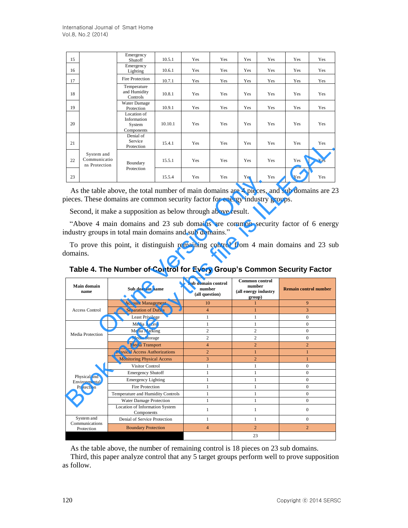| 15 |                                             | Emergency<br>Shutoff                               | 10.5.1  | Yes | Yes | Yes | Yes | Yes | Yes |
|----|---------------------------------------------|----------------------------------------------------|---------|-----|-----|-----|-----|-----|-----|
| 16 |                                             | Emergency<br>Lighting                              | 10.6.1  | Yes | Yes | Yes | Yes | Yes | Yes |
| 17 |                                             | Fire Protection                                    | 10.7.1  | Yes | Yes | Yes | Yes | Yes | Yes |
| 18 |                                             | Temperature<br>and Humidity<br>Controls            | 10.8.1  | Yes | Yes | Yes | Yes | Yes | Yes |
| 19 |                                             | Water Damage<br>Protection                         | 10.9.1  | Yes | Yes | Yes | Yes | Yes | Yes |
| 20 |                                             | Location of<br>Information<br>System<br>Components | 10.10.1 | Yes | Yes | Yes | Yes | Yes | Yes |
| 21 |                                             | Denial of<br>Service<br>Protection                 | 15.4.1  | Yes | Yes | Yes | Yes | Yes | Yes |
| 22 | System and<br>Communicatio<br>ns Protection | Boundary                                           | 15.5.1  | Yes | Yes | Yes | Yes | Yes | Yes |
| 23 |                                             | Protection                                         | 15.5.4  | Yes | Yes | Yes | Yes | Yes | Yes |

|                                                                              |                         | Protection                                                                                                                                                      | 15.4.1 | Yes                      | Yes                | Yes                            | Yes | Yes | Yes                          |
|------------------------------------------------------------------------------|-------------------------|-----------------------------------------------------------------------------------------------------------------------------------------------------------------|--------|--------------------------|--------------------|--------------------------------|-----|-----|------------------------------|
| System and<br>Communicatio<br>22<br>ns Protection                            |                         | Boundary<br>Protection                                                                                                                                          | 15.5.1 | Yes                      | Yes                | Yes                            | Yes | Yes | Yes                          |
| 23                                                                           |                         |                                                                                                                                                                 | 15.5.4 | Yes                      | Yes                | Yes                            | Yes | Yes | Yes                          |
| pieces. These domains are common security factor for energy industry groups. |                         | As the table above, the total number of main domains are 4 pieces, and sub domains are 2.                                                                       |        |                          |                    |                                |     |     |                              |
|                                                                              |                         | Second, it make a supposition as below through above result.                                                                                                    |        |                          |                    |                                |     |     |                              |
| ndustry groups in total main domains and sub domains."                       |                         | "Above 4 main domains and 23 sub domains are common security factor of 6 energy                                                                                 |        |                          |                    |                                |     |     |                              |
| domains.                                                                     |                         | To prove this point, it distinguish remaining control from 4 main domains and 23 sul<br>Table 4. The Number of Control for Every Group's Common Security Factor |        |                          |                    |                                |     |     |                              |
|                                                                              | Sub domain name<br>name |                                                                                                                                                                 |        |                          | Sub domain control | Common control                 |     |     |                              |
| <b>Main domain</b>                                                           |                         |                                                                                                                                                                 |        | number<br>(all question) |                    | number<br>(all energy industry |     |     | <b>Remain control number</b> |
|                                                                              |                         | <b>Account Management</b>                                                                                                                                       |        | 10                       |                    | group)<br>$\mathbf{1}$         |     |     | 9                            |
| <b>Access Control</b>                                                        |                         | <b>Separation of Duties</b>                                                                                                                                     |        | $\overline{4}$           |                    | $\mathbf{1}$                   |     |     | 3                            |
|                                                                              |                         | Least Privilege                                                                                                                                                 |        | 1                        |                    | 1                              |     |     | $\boldsymbol{0}$             |
|                                                                              |                         | Media Access                                                                                                                                                    |        | 1                        |                    | 1                              |     |     | $\Omega$                     |
|                                                                              |                         | Media Marking                                                                                                                                                   |        | $\overline{c}$           |                    | $\overline{c}$                 |     |     | $\overline{0}$               |
| Physical and<br>Environmental<br>Protection                                  |                         | Media Storage                                                                                                                                                   |        | $\overline{c}$           |                    | $\overline{c}$                 |     |     | $\mathbf{0}$                 |
| Media Protection                                                             |                         | <b>Media Transport</b>                                                                                                                                          |        | $\overline{4}$           |                    | $\overline{2}$                 |     |     | $\overline{2}$               |
|                                                                              |                         | <b>Physical Access Authorizations</b>                                                                                                                           |        | $\overline{2}$           |                    | $\mathbf{1}$                   |     |     | $\mathbf{1}$                 |
|                                                                              |                         | <b>Monitoring Physical Access</b>                                                                                                                               |        | 3                        |                    | $\overline{2}$                 |     |     | $\mathbf{1}$                 |
|                                                                              |                         | Visitor Control                                                                                                                                                 |        | 1                        |                    | 1                              |     |     | $\mathbf{0}$                 |
|                                                                              |                         | <b>Emergency Shutoff</b>                                                                                                                                        |        | 1                        |                    | 1                              |     |     | $\boldsymbol{0}$             |
|                                                                              |                         | <b>Emergency Lighting</b>                                                                                                                                       |        | 1                        |                    | 1                              |     |     | $\Omega$                     |
|                                                                              |                         | <b>Fire Protection</b>                                                                                                                                          |        | 1                        |                    | $\mathbf{1}$                   |     |     | $\mathbf{0}$                 |
|                                                                              |                         | Temperature and Humidity Controls                                                                                                                               |        | $\mathbf{1}$             |                    | $\mathbf{1}$                   |     |     | $\mathbf{0}$                 |
|                                                                              |                         | Water Damage Protection                                                                                                                                         |        | $\mathbf{1}$             |                    | $\mathbf{1}$                   |     |     | $\overline{0}$               |
|                                                                              |                         | Location of Information System<br>Components                                                                                                                    |        | $\mathbf{1}$             |                    | $\mathbf{1}$                   |     |     | $\overline{0}$               |
| System and<br>Communications                                                 |                         | Denial of Service Protection                                                                                                                                    |        | $\mathbf{1}$             |                    | $\mathbf{1}$                   |     |     | $\boldsymbol{0}$             |

**Table 4. The Number of Control for Every Group's Common Security Factor** 

As the table above, the number of remaining control is 18 pieces on 23 sub domains.

Third, this paper analyze control that any 5 target groups perform well to prove supposition as follow.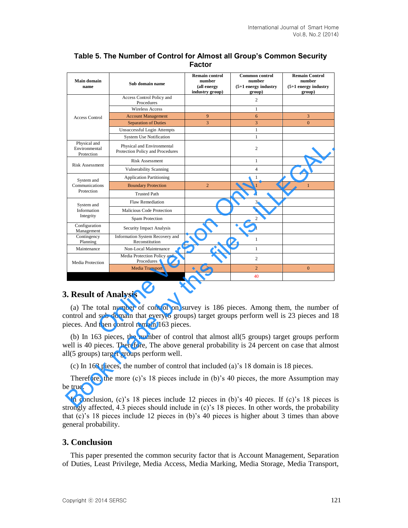| <b>Main domain</b><br>name                  | Sub domain name                                                                                                                                                                                                                        | <b>Remain control</b><br>number<br>(all energy<br>industry group) | <b>Common control</b><br>number<br>$(5+1$ energy industry<br>group) | <b>Remain Control</b><br>number<br>$(5+1$ energy industry<br>group) |
|---------------------------------------------|----------------------------------------------------------------------------------------------------------------------------------------------------------------------------------------------------------------------------------------|-------------------------------------------------------------------|---------------------------------------------------------------------|---------------------------------------------------------------------|
|                                             | Access Control Policy and<br>Procedures                                                                                                                                                                                                |                                                                   | 2                                                                   |                                                                     |
|                                             | Wireless Access                                                                                                                                                                                                                        |                                                                   | 1                                                                   |                                                                     |
| <b>Access Control</b>                       | <b>Account Management</b>                                                                                                                                                                                                              | 9                                                                 | 6                                                                   | 3                                                                   |
|                                             | <b>Separation of Duties</b>                                                                                                                                                                                                            | 3                                                                 | 3                                                                   | $\boldsymbol{0}$                                                    |
|                                             | Unsuccessful Login Attempts                                                                                                                                                                                                            |                                                                   | $\mathbf{1}$                                                        |                                                                     |
|                                             | <b>System Use Notification</b>                                                                                                                                                                                                         |                                                                   | $\mathbf{1}$                                                        |                                                                     |
| Physical and<br>Environmental<br>Protection | Physical and Environmental<br>Protection Policy and Procedures                                                                                                                                                                         |                                                                   | 2                                                                   |                                                                     |
|                                             | Risk Assessment                                                                                                                                                                                                                        |                                                                   | $\mathbf{1}$                                                        |                                                                     |
| <b>Risk Assessment</b>                      | <b>Vulnerability Scanning</b>                                                                                                                                                                                                          |                                                                   | 4                                                                   |                                                                     |
|                                             | <b>Application Partitioning</b>                                                                                                                                                                                                        |                                                                   | 1                                                                   |                                                                     |
| System and<br>Communications                | <b>Boundary Protection</b>                                                                                                                                                                                                             | $\overline{c}$                                                    | $\mathbf{1}$                                                        | $\mathbf{1}$                                                        |
| Protection                                  | <b>Trusted Path</b>                                                                                                                                                                                                                    |                                                                   | $\mathbf{1}$                                                        |                                                                     |
|                                             | <b>Flaw Remediation</b>                                                                                                                                                                                                                |                                                                   | 3                                                                   |                                                                     |
| System and<br>Information                   | Malicious Code Protection                                                                                                                                                                                                              |                                                                   | $\overline{4}$                                                      |                                                                     |
| Integrity                                   | Spam Protection                                                                                                                                                                                                                        |                                                                   | 2                                                                   |                                                                     |
| Configuration<br>Management                 | Security Impact Analysis                                                                                                                                                                                                               |                                                                   | 1                                                                   |                                                                     |
| Contingency<br>Planning                     | Information System Recovery and<br>Reconstitution                                                                                                                                                                                      |                                                                   | $\mathbf{1}$                                                        |                                                                     |
| Maintenance                                 | Non-Local Maintenance                                                                                                                                                                                                                  |                                                                   | $\mathbf{1}$                                                        |                                                                     |
| Media Protection                            | Media Protection Policy and<br>Procedures                                                                                                                                                                                              |                                                                   | 2                                                                   |                                                                     |
|                                             | <b>Media Transport</b>                                                                                                                                                                                                                 | $\mathbf{2}$                                                      | $\overline{c}$                                                      | $\boldsymbol{0}$                                                    |
|                                             |                                                                                                                                                                                                                                        |                                                                   | 40                                                                  |                                                                     |
| 3. Result of Analysis                       | (a) The total number of control on survey is 186 pieces. Among them, the number of<br>control and sub domain that every(6 groups) target groups perform well is 23 pieces and 1<br>bieces. And then control remain 163 pieces.         |                                                                   |                                                                     |                                                                     |
|                                             | (b) In 163 pieces, the number of control that almost all (5 groups) target groups perform<br>well is 40 pieces. Therefore, The above general probability is 24 percent on case that almos<br>Ill(5 groups) target groups perform well. |                                                                   |                                                                     |                                                                     |
|                                             | (c) In 163 pieces, the number of control that included (a)'s 18 domain is 18 pieces.                                                                                                                                                   |                                                                   |                                                                     |                                                                     |
| e true.                                     | Therefore, the more (c)'s 18 pieces include in (b)'s 40 pieces, the more Assumption ma                                                                                                                                                 |                                                                   |                                                                     |                                                                     |
|                                             | In conclusion, (c)'s 18 pieces include 12 pieces in (b)'s 40 pieces. If (c)'s 18 pieces i<br>trangly effected $\Delta$ 2 nieges should include in (a)'s 19 nieges. In other words, the probability                                     |                                                                   |                                                                     |                                                                     |

### **Table 5. The Number of Control for Almost all Group's Common Security Factor**

### **3. Result of Analysis**

In conclusion, (c)'s 18 pieces include 12 pieces in (b)'s 40 pieces. If (c)'s 18 pieces is strongly affected, 4.3 pieces should include in (c)'s 18 pieces. In other words, the probability that (c)'s 18 pieces include 12 pieces in (b)'s 40 pieces is higher about 3 times than above general probability.

### **3. Conclusion**

This paper presented the common security factor that is Account Management, Separation of Duties, Least Privilege, Media Access, Media Marking, Media Storage, Media Transport,